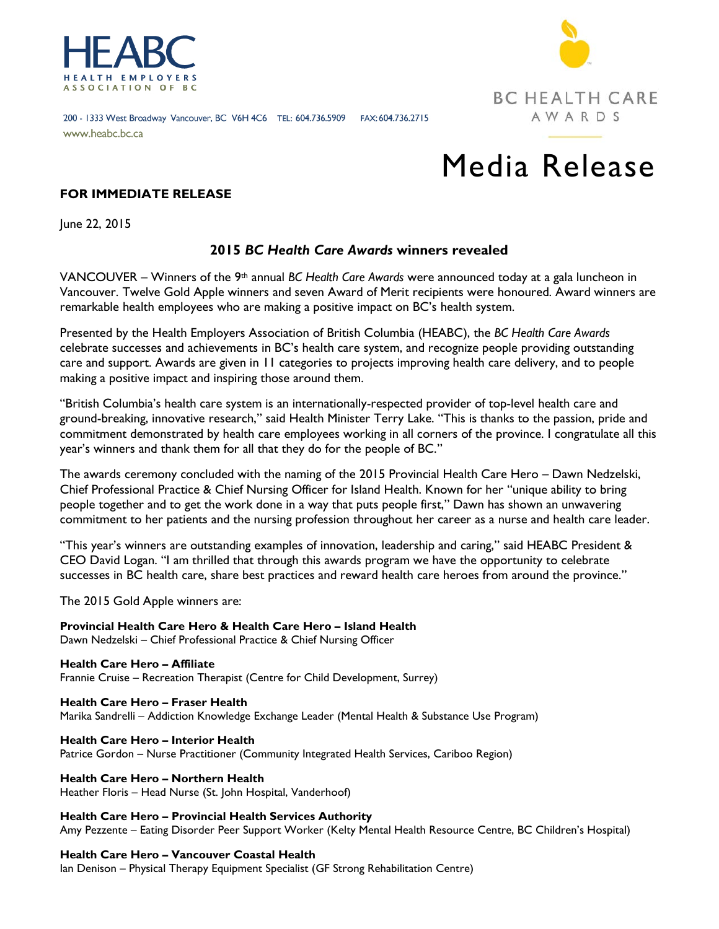



#### 200 - 1333 West Broadway Vancouver, BC V6H 4C6 TEL: 604.736.5909 FAX: 604.736.2715 www.heabc.bc.ca

# Media Release

# **FOR IMMEDIATE RELEASE**

June 22, 2015

# **2015** *BC Health Care Awards* **winners revealed**

VANCOUVER – Winners of the 9th annual *BC Health Care Awards* were announced today at a gala luncheon in Vancouver. Twelve Gold Apple winners and seven Award of Merit recipients were honoured. Award winners are remarkable health employees who are making a positive impact on BC's health system.

Presented by the Health Employers Association of British Columbia (HEABC), the *BC Health Care Awards*  celebrate successes and achievements in BC's health care system, and recognize people providing outstanding care and support. Awards are given in 11 categories to projects improving health care delivery, and to people making a positive impact and inspiring those around them.

"British Columbia's health care system is an internationally-respected provider of top-level health care and ground-breaking, innovative research," said Health Minister Terry Lake. "This is thanks to the passion, pride and commitment demonstrated by health care employees working in all corners of the province. I congratulate all this year's winners and thank them for all that they do for the people of BC."

The awards ceremony concluded with the naming of the 2015 Provincial Health Care Hero – Dawn Nedzelski, Chief Professional Practice & Chief Nursing Officer for Island Health. Known for her "unique ability to bring people together and to get the work done in a way that puts people first," Dawn has shown an unwavering commitment to her patients and the nursing profession throughout her career as a nurse and health care leader.

"This year's winners are outstanding examples of innovation, leadership and caring," said HEABC President & CEO David Logan. "I am thrilled that through this awards program we have the opportunity to celebrate successes in BC health care, share best practices and reward health care heroes from around the province."

The 2015 Gold Apple winners are:

**Provincial Health Care Hero & Health Care Hero – Island Health**  Dawn Nedzelski – Chief Professional Practice & Chief Nursing Officer

**Health Care Hero – Affiliate** Frannie Cruise – Recreation Therapist (Centre for Child Development, Surrey)

**Health Care Hero – Fraser Health** Marika Sandrelli – Addiction Knowledge Exchange Leader (Mental Health & Substance Use Program)

**Health Care Hero – Interior Health**  Patrice Gordon – Nurse Practitioner (Community Integrated Health Services, Cariboo Region)

**Health Care Hero – Northern Health** Heather Floris – Head Nurse (St. John Hospital, Vanderhoof)

**Health Care Hero – Provincial Health Services Authority** Amy Pezzente – Eating Disorder Peer Support Worker (Kelty Mental Health Resource Centre, BC Children's Hospital)

**Health Care Hero – Vancouver Coastal Health**

Ian Denison – Physical Therapy Equipment Specialist (GF Strong Rehabilitation Centre)